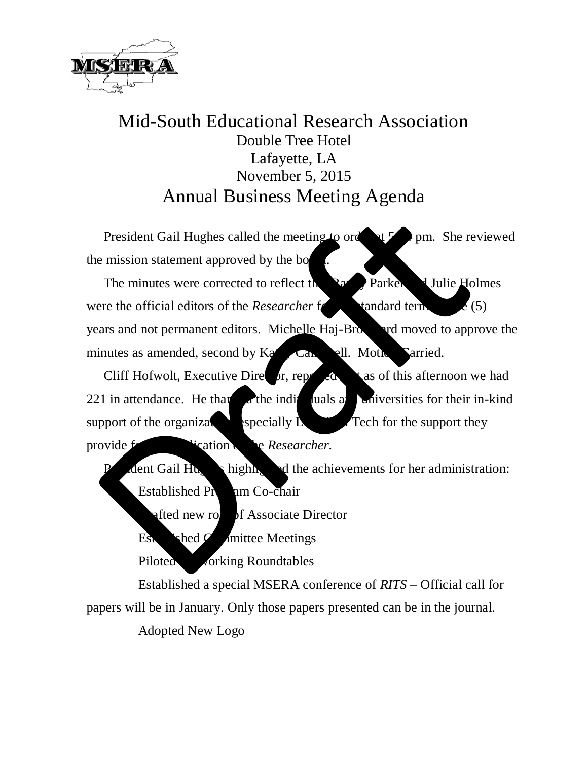

## Mid-South Educational Research Association Double Tree Hotel Lafayette, LA November 5, 2015 Annual Business Meeting Agenda

President Gail Hughes called the meeting to order  $\mathbf{t}$   $\mathbf{z}$  pm. She reviewed the mission statement approved by the bo

The minutes were corrected to reflect that Randy Parker and Julie Holmes were the official editors of the *Researcher* for the standard term  $\epsilon$  (5) years and not permanent editors. Michelle Haj-Brows and moved to approve the minutes as amended, second by  $K_2$  Can ell. Moth Carried.

Cliff Hofwolt, Executive Director, reported that as of this afternoon we had 221 in attendance. He thanked the individuals and universities for their in-kind support of the organization; especially  $L$  and  $\Gamma$  Tech for the support they provide for the second the *Researcher*.

 $\Delta$  dent Gail Hughes highlighted the achievements for her administration: Established Proam Co-chair

ofted new role of Associate Director

Est $\blacksquare$  ished  $\blacksquare$  a mittee Meetings

Piloted vorking Roundtables

Established a special MSERA conference of *RITS –* Official call for papers will be in January. Only those papers presented can be in the journal. Adopted New Logo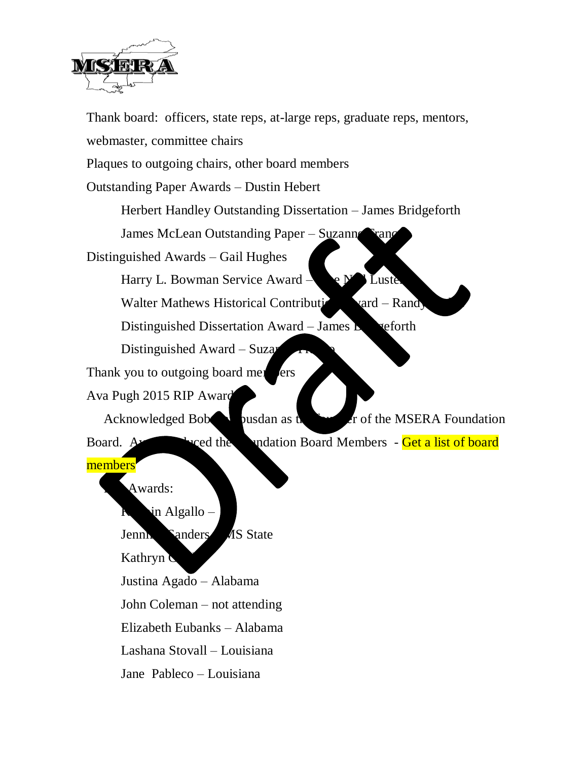

Thank board: officers, state reps, at-large reps, graduate reps, mentors, webmaster, committee chairs Plaques to outgoing chairs, other board members Outstanding Paper Awards – Dustin Hebert Herbert Handley Outstanding Dissertation – James Bridgeforth James McLean Outstanding Paper – Suzanne Franc Distinguished Awards – Gail Hughes Harry L. Bowman Service Award –  $\bullet$  Nell Luster Walter Mathews Historical Contribution Award – Randy Distinguished Dissertation Award – James Bridgeforth Distinguished Award – Suzanne Franco Thank you to outgoing board members Ava Pugh 2015 RIP Award Acknowledged Bob busdan as the foundation  $\mathcal{L}$  r of the MSERA Foundation Board. A<sub>r</sub> interved the Foundation Board Members - Get a list of board members<sup>'</sup> Awards:  $\in$  Algallo – Jennik Sanders *AS* State Kathryn  $\sigma$ Justina Agado – Alabama John Coleman – not attending Elizabeth Eubanks – Alabama Lashana Stovall – Louisiana Jane Pableco – Louisiana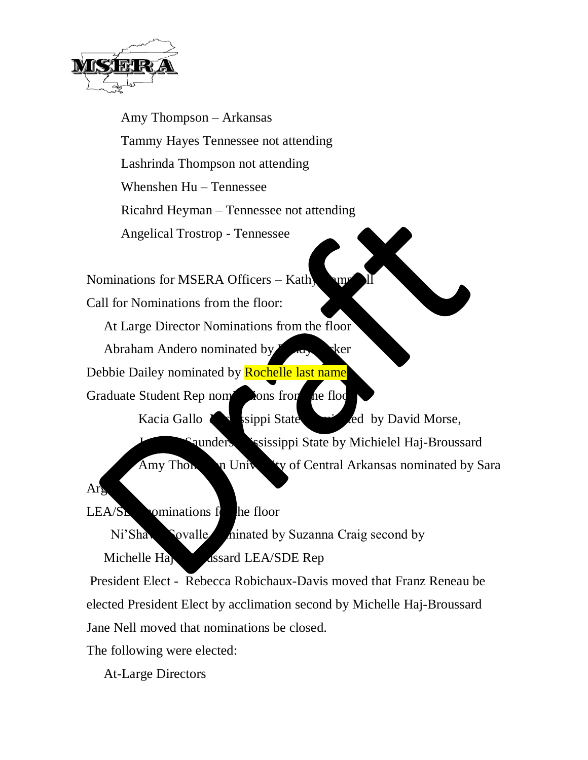

Amy Thompson – Arkansas Tammy Hayes Tennessee not attending Lashrinda Thompson not attending Whenshen Hu – Tennessee Ricahrd Heyman – Tennessee not attending Angelical Trostrop - Tennessee

Nominations for MSERA Officers – Kath

Call for Nominations from the floor:

At Large Director Nominations from the floor

Abraham Andero nominated by  $R_{\text{max}}$  Parker

Debbie Dailey nominated by Rochelle last name

Graduate Student Rep nom**ing from the floor** 

Kacia Gallo **Mississippi State Nominated by David Morse**,

**Faunders Syssissippi State by Michielel Haj-Broussard** 

Amy Thom by University of Central Arkansas nominated by Sara

 $Ar<sub>3</sub>$ 

 $LEA/SE$  ominations for the floor

Ni'Shaw Sovalle minated by Suzanna Craig second by Michelle Ha<sub>js</sub> assard LEA/SDE Rep

President Elect - Rebecca Robichaux-Davis moved that Franz Reneau be elected President Elect by acclimation second by Michelle Haj-Broussard Jane Nell moved that nominations be closed.

The following were elected:

At-Large Directors